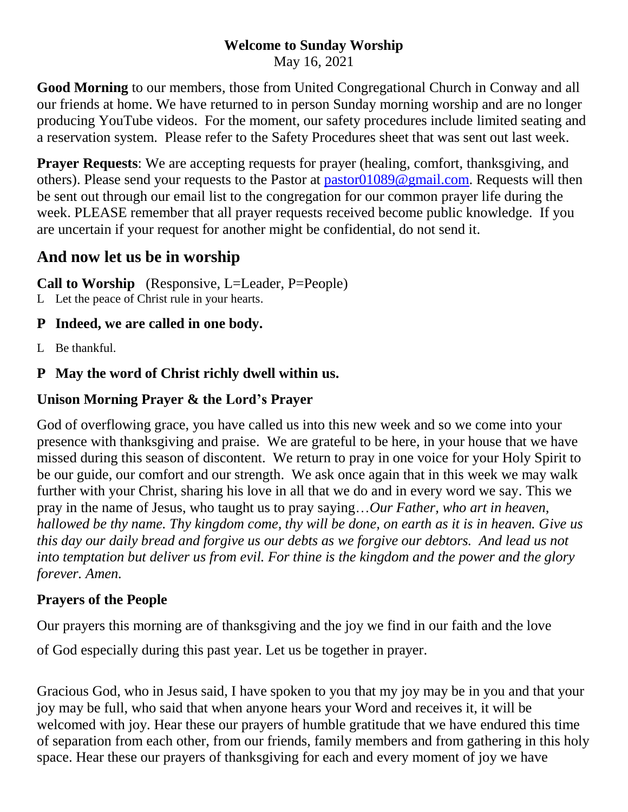#### **Welcome to Sunday Worship**

May 16, 2021

**Good Morning** to our members, those from United Congregational Church in Conway and all our friends at home. We have returned to in person Sunday morning worship and are no longer producing YouTube videos. For the moment, our safety procedures include limited seating and a reservation system. Please refer to the Safety Procedures sheet that was sent out last week.

**Prayer Requests:** We are accepting requests for prayer (healing, comfort, thanksgiving, and others). Please send your requests to the Pastor at [pastor01089@gmail.com.](mailto:pastor01089@gmail.com) Requests will then be sent out through our email list to the congregation for our common prayer life during the week. PLEASE remember that all prayer requests received become public knowledge. If you are uncertain if your request for another might be confidential, do not send it.

# **And now let us be in worship**

**Call to Worship** (Responsive, L=Leader, P=People)

L Let the peace of Christ rule in your hearts.

# **P Indeed, we are called in one body.**

L Be thankful.

# **P May the word of Christ richly dwell within us.**

### **Unison Morning Prayer & the Lord's Prayer**

God of overflowing grace, you have called us into this new week and so we come into your presence with thanksgiving and praise. We are grateful to be here, in your house that we have missed during this season of discontent. We return to pray in one voice for your Holy Spirit to be our guide, our comfort and our strength. We ask once again that in this week we may walk further with your Christ, sharing his love in all that we do and in every word we say. This we pray in the name of Jesus, who taught us to pray saying…*Our Father, who art in heaven, hallowed be thy name. Thy kingdom come, thy will be done, on earth as it is in heaven. Give us this day our daily bread and forgive us our debts as we forgive our debtors. And lead us not into temptation but deliver us from evil. For thine is the kingdom and the power and the glory forever. Amen.*

### **Prayers of the People**

Our prayers this morning are of thanksgiving and the joy we find in our faith and the love

of God especially during this past year. Let us be together in prayer.

Gracious God, who in Jesus said, I have spoken to you that my joy may be in you and that your joy may be full, who said that when anyone hears your Word and receives it, it will be welcomed with joy. Hear these our prayers of humble gratitude that we have endured this time of separation from each other, from our friends, family members and from gathering in this holy space. Hear these our prayers of thanksgiving for each and every moment of joy we have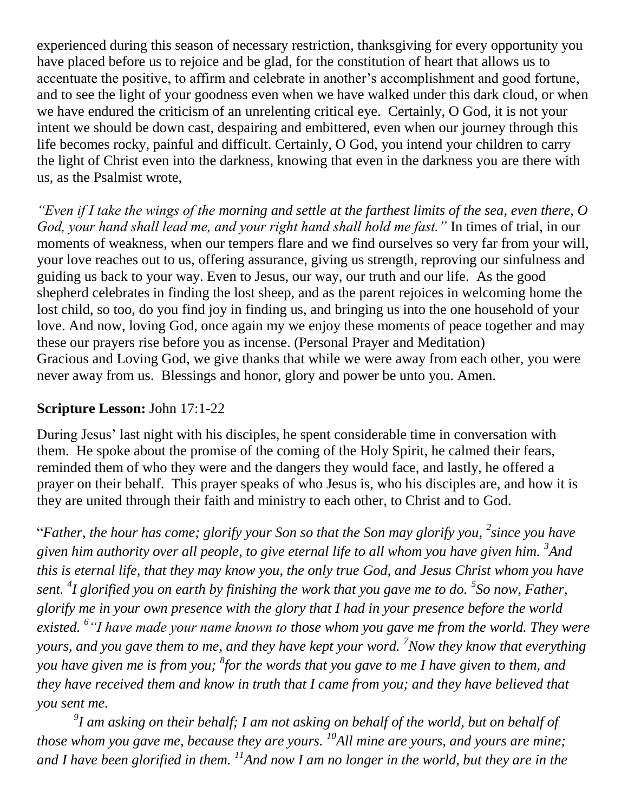experienced during this season of necessary restriction, thanksgiving for every opportunity you have placed before us to rejoice and be glad, for the constitution of heart that allows us to accentuate the positive, to affirm and celebrate in another's accomplishment and good fortune, and to see the light of your goodness even when we have walked under this dark cloud, or when we have endured the criticism of an unrelenting critical eye. Certainly, O God, it is not your intent we should be down cast, despairing and embittered, even when our journey through this life becomes rocky, painful and difficult. Certainly, O God, you intend your children to carry the light of Christ even into the darkness, knowing that even in the darkness you are there with us, as the Psalmist wrote,

*"Even if I take the wings of the morning and settle at the farthest limits of the sea, even there, O God, your hand shall lead me, and your right hand shall hold me fast."* In times of trial, in our moments of weakness, when our tempers flare and we find ourselves so very far from your will, your love reaches out to us, offering assurance, giving us strength, reproving our sinfulness and guiding us back to your way. Even to Jesus, our way, our truth and our life. As the good shepherd celebrates in finding the lost sheep, and as the parent rejoices in welcoming home the lost child, so too, do you find joy in finding us, and bringing us into the one household of your love. And now, loving God, once again my we enjoy these moments of peace together and may these our prayers rise before you as incense. (Personal Prayer and Meditation) Gracious and Loving God, we give thanks that while we were away from each other, you were never away from us. Blessings and honor, glory and power be unto you. Amen.

#### **Scripture Lesson:** John 17:1-22

During Jesus' last night with his disciples, he spent considerable time in conversation with them. He spoke about the promise of the coming of the Holy Spirit, he calmed their fears, reminded them of who they were and the dangers they would face, and lastly, he offered a prayer on their behalf. This prayer speaks of who Jesus is, who his disciples are, and how it is they are united through their faith and ministry to each other, to Christ and to God.

"Father, the hour has come; glorify your Son so that the Son may glorify you, <sup>2</sup> since you have *given him authority over all people, to give eternal life to all whom you have given him. <sup>3</sup> And this is eternal life, that they may know you, the only true God, and Jesus Christ whom you have sent. <sup>4</sup> I glorified you on earth by finishing the work that you gave me to do. <sup>5</sup> So now, Father, glorify me in your own presence with the glory that I had in your presence before the world existed. <sup>6</sup> "I have made your name known to those whom you gave me from the world. They were yours, and you gave them to me, and they have kept your word. <sup>7</sup>Now they know that everything you have given me is from you; <sup>8</sup> for the words that you gave to me I have given to them, and they have received them and know in truth that I came from you; and they have believed that you sent me.* 

*9 I am asking on their behalf; I am not asking on behalf of the world, but on behalf of those whom you gave me, because they are yours. <sup>10</sup>All mine are yours, and yours are mine; and I have been glorified in them. <sup>11</sup>And now I am no longer in the world, but they are in the*